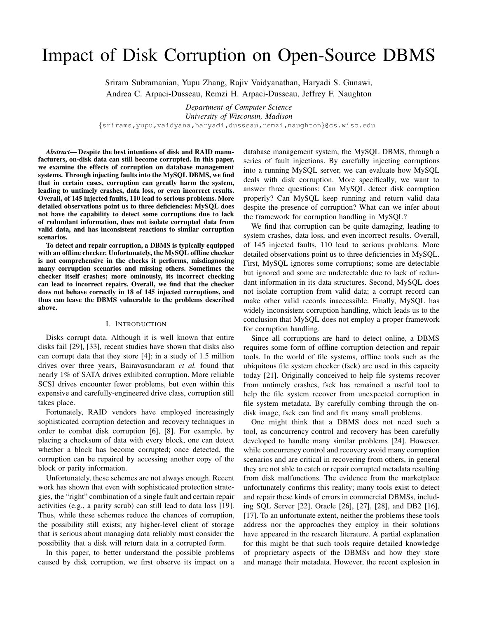# Impact of Disk Corruption on Open-Source DBMS

Sriram Subramanian, Yupu Zhang, Rajiv Vaidyanathan, Haryadi S. Gunawi, Andrea C. Arpaci-Dusseau, Remzi H. Arpaci-Dusseau, Jeffrey F. Naughton

*Department of Computer Science University of Wisconsin, Madison* {srirams,yupu,vaidyana,haryadi,dusseau,remzi,naughton}@cs.wisc.edu

*Abstract***— Despite the best intentions of disk and RAID manufacturers, on-disk data can still become corrupted. In this paper, we examine the effects of corruption on database management systems. Through injecting faults into the MySQL DBMS, we find that in certain cases, corruption can greatly harm the system, leading to untimely crashes, data loss, or even incorrect results. Overall, of 145 injected faults, 110 lead to serious problems. More detailed observations point us to three deficiencies: MySQL does not have the capability to detect some corruptions due to lack of redundant information, does not isolate corrupted data from valid data, and has inconsistent reactions to similar corruption scenarios.**

**To detect and repair corruption, a DBMS is typically equipped with an offline checker. Unfortunately, the MySQL offline checker is not comprehensive in the checks it performs, misdiagnosing many corruption scenarios and missing others. Sometimes the checker itself crashes; more ominously, its incorrect checking can lead to incorrect repairs. Overall, we find that the checker does not behave correctly in 18 of 145 injected corruptions, and thus can leave the DBMS vulnerable to the problems described above.**

# I. INTRODUCTION

Disks corrupt data. Although it is well known that entire disks fail [29], [33], recent studies have shown that disks also can corrupt data that they store [4]; in a study of 1.5 million drives over three years, Bairavasundaram *et al.* found that nearly 1% of SATA drives exhibited corruption. More reliable SCSI drives encounter fewer problems, but even within this expensive and carefully-engineered drive class, corruption still takes place.

Fortunately, RAID vendors have employed increasingly sophisticated corruption detection and recovery techniques in order to combat disk corruption [6], [8]. For example, by placing a checksum of data with every block, one can detect whether a block has become corrupted; once detected, the corruption can be repaired by accessing another copy of the block or parity information.

Unfortunately, these schemes are not always enough. Recent work has shown that even with sophisticated protection strategies, the "right" combination of a single fault and certain repair activities (e.g., a parity scrub) can still lead to data loss [19]. Thus, while these schemes reduce the chances of corruption, the possibility still exists; any higher-level client of storage that is serious about managing data reliably must consider the possibility that a disk will return data in a corrupted form.

In this paper, to better understand the possible problems caused by disk corruption, we first observe its impact on a

database management system, the MySQL DBMS, through a series of fault injections. By carefully injecting corruptions into a running MySQL server, we can evaluate how MySQL deals with disk corruption. More specifically, we want to answer three questions: Can MySQL detect disk corruption properly? Can MySQL keep running and return valid data despite the presence of corruption? What can we infer about the framework for corruption handling in MySQL?

We find that corruption can be quite damaging, leading to system crashes, data loss, and even incorrect results. Overall, of 145 injected faults, 110 lead to serious problems. More detailed observations point us to three deficiencies in MySQL. First, MySQL ignores some corruptions; some are detectable but ignored and some are undetectable due to lack of redundant information in its data structures. Second, MySQL does not isolate corruption from valid data; a corrupt record can make other valid records inaccessible. Finally, MySQL has widely inconsistent corruption handling, which leads us to the conclusion that MySQL does not employ a proper framework for corruption handling.

Since all corruptions are hard to detect online, a DBMS requires some form of offline corruption detection and repair tools. In the world of file systems, offline tools such as the ubiquitous file system checker (fsck) are used in this capacity today [21]. Originally conceived to help file systems recover from untimely crashes, fsck has remained a useful tool to help the file system recover from unexpected corruption in file system metadata. By carefully combing through the ondisk image, fsck can find and fix many small problems.

One might think that a DBMS does not need such a tool, as concurrency control and recovery has been carefully developed to handle many similar problems [24]. However, while concurrency control and recovery avoid many corruption scenarios and are critical in recovering from others, in general they are not able to catch or repair corrupted metadata resulting from disk malfunctions. The evidence from the marketplace unfortunately confirms this reality; many tools exist to detect and repair these kinds of errors in commercial DBMSs, including SQL Server [22], Oracle [26], [27], [28], and DB2 [16], [17]. To an unfortunate extent, neither the problems these tools address nor the approaches they employ in their solutions have appeared in the research literature. A partial explanation for this might be that such tools require detailed knowledge of proprietary aspects of the DBMSs and how they store and manage their metadata. However, the recent explosion in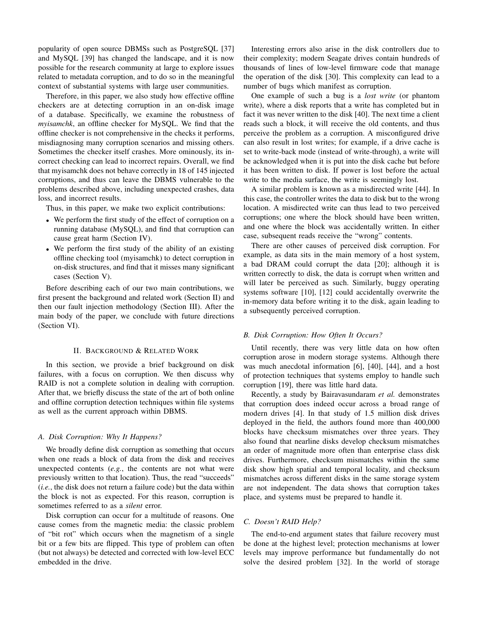popularity of open source DBMSs such as PostgreSQL [37] and MySQL [39] has changed the landscape, and it is now possible for the research community at large to explore issues related to metadata corruption, and to do so in the meaningful context of substantial systems with large user communities.

Therefore, in this paper, we also study how effective offline checkers are at detecting corruption in an on-disk image of a database. Specifically, we examine the robustness of *myisamchk*, an offline checker for MySQL. We find that the offline checker is not comprehensive in the checks it performs, misdiagnosing many corruption scenarios and missing others. Sometimes the checker itself crashes. More ominously, its incorrect checking can lead to incorrect repairs. Overall, we find that myisamchk does not behave correctly in 18 of 145 injected corruptions, and thus can leave the DBMS vulnerable to the problems described above, including unexpected crashes, data loss, and incorrect results.

Thus, in this paper, we make two explicit contributions:

- We perform the first study of the effect of corruption on a running database (MySQL), and find that corruption can cause great harm (Section IV).
- We perform the first study of the ability of an existing offline checking tool (myisamchk) to detect corruption in on-disk structures, and find that it misses many significant cases (Section V).

Before describing each of our two main contributions, we first present the background and related work (Section II) and then our fault injection methodology (Section III). After the main body of the paper, we conclude with future directions (Section VI).

# II. BACKGROUND & RELATED WORK

In this section, we provide a brief background on disk failures, with a focus on corruption. We then discuss why RAID is not a complete solution in dealing with corruption. After that, we briefly discuss the state of the art of both online and offline corruption detection techniques within file systems as well as the current approach within DBMS.

# *A. Disk Corruption: Why It Happens?*

We broadly define disk corruption as something that occurs when one reads a block of data from the disk and receives unexpected contents (*e.g.*, the contents are not what were previously written to that location). Thus, the read "succeeds" (*i.e.*, the disk does not return a failure code) but the data within the block is not as expected. For this reason, corruption is sometimes referred to as a *silent* error.

Disk corruption can occur for a multitude of reasons. One cause comes from the magnetic media: the classic problem of "bit rot" which occurs when the magnetism of a single bit or a few bits are flipped. This type of problem can often (but not always) be detected and corrected with low-level ECC embedded in the drive.

Interesting errors also arise in the disk controllers due to their complexity; modern Seagate drives contain hundreds of thousands of lines of low-level firmware code that manage the operation of the disk [30]. This complexity can lead to a number of bugs which manifest as corruption.

One example of such a bug is a *lost write* (or phantom write), where a disk reports that a write has completed but in fact it was never written to the disk [40]. The next time a client reads such a block, it will receive the old contents, and thus perceive the problem as a corruption. A misconfigured drive can also result in lost writes; for example, if a drive cache is set to write-back mode (instead of write-through), a write will be acknowledged when it is put into the disk cache but before it has been written to disk. If power is lost before the actual write to the media surface, the write is seemingly lost.

A similar problem is known as a misdirected write [44]. In this case, the controller writes the data to disk but to the wrong location. A misdirected write can thus lead to two perceived corruptions; one where the block should have been written, and one where the block was accidentally written. In either case, subsequent reads receive the "wrong" contents.

There are other causes of perceived disk corruption. For example, as data sits in the main memory of a host system, a bad DRAM could corrupt the data [20]; although it is written correctly to disk, the data is corrupt when written and will later be perceived as such. Similarly, buggy operating systems software [10], [12] could accidentally overwrite the in-memory data before writing it to the disk, again leading to a subsequently perceived corruption.

# *B. Disk Corruption: How Often It Occurs?*

Until recently, there was very little data on how often corruption arose in modern storage systems. Although there was much anecdotal information [6], [40], [44], and a host of protection techniques that systems employ to handle such corruption [19], there was little hard data.

Recently, a study by Bairavasundaram *et al.* demonstrates that corruption does indeed occur across a broad range of modern drives [4]. In that study of 1.5 million disk drives deployed in the field, the authors found more than 400,000 blocks have checksum mismatches over three years. They also found that nearline disks develop checksum mismatches an order of magnitude more often than enterprise class disk drives. Furthermore, checksum mismatches within the same disk show high spatial and temporal locality, and checksum mismatches across different disks in the same storage system are not independent. The data shows that corruption takes place, and systems must be prepared to handle it.

# *C. Doesn't RAID Help?*

The end-to-end argument states that failure recovery must be done at the highest level; protection mechanisms at lower levels may improve performance but fundamentally do not solve the desired problem [32]. In the world of storage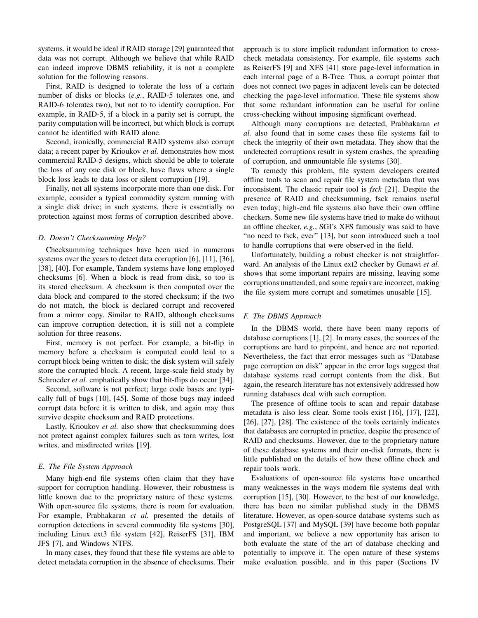systems, it would be ideal if RAID storage [29] guaranteed that data was not corrupt. Although we believe that while RAID can indeed improve DBMS reliability, it is not a complete solution for the following reasons.

First, RAID is designed to tolerate the loss of a certain number of disks or blocks (*e.g.*, RAID-5 tolerates one, and RAID-6 tolerates two), but not to to identify corruption. For example, in RAID-5, if a block in a parity set is corrupt, the parity computation will be incorrect, but which block is corrupt cannot be identified with RAID alone.

Second, ironically, commercial RAID systems also corrupt data; a recent paper by Krioukov *et al.* demonstrates how most commercial RAID-5 designs, which should be able to tolerate the loss of any one disk or block, have flaws where a single block loss leads to data loss or silent corruption [19].

Finally, not all systems incorporate more than one disk. For example, consider a typical commodity system running with a single disk drive; in such systems, there is essentially no protection against most forms of corruption described above.

#### *D. Doesn't Checksumming Help?*

Checksumming techniques have been used in numerous systems over the years to detect data corruption [6], [11], [36], [38], [40]. For example, Tandem systems have long employed checksums [6]. When a block is read from disk, so too is its stored checksum. A checksum is then computed over the data block and compared to the stored checksum; if the two do not match, the block is declared corrupt and recovered from a mirror copy. Similar to RAID, although checksums can improve corruption detection, it is still not a complete solution for three reasons.

First, memory is not perfect. For example, a bit-flip in memory before a checksum is computed could lead to a corrupt block being written to disk; the disk system will safely store the corrupted block. A recent, large-scale field study by Schroeder *et al.* emphatically show that bit-flips do occur [34].

Second, software is not perfect; large code bases are typically full of bugs [10], [45]. Some of those bugs may indeed corrupt data before it is written to disk, and again may thus survive despite checksum and RAID protections.

Lastly, Krioukov *et al.* also show that checksumming does not protect against complex failures such as torn writes, lost writes, and misdirected writes [19].

## *E. The File System Approach*

Many high-end file systems often claim that they have support for corruption handling. However, their robustness is little known due to the proprietary nature of these systems. With open-source file systems, there is room for evaluation. For example, Prabhakaran *et al.* presented the details of corruption detections in several commodity file systems [30], including Linux ext3 file system [42], ReiserFS [31], IBM JFS [7], and Windows NTFS.

In many cases, they found that these file systems are able to detect metadata corruption in the absence of checksums. Their approach is to store implicit redundant information to crosscheck metadata consistency. For example, file systems such as ReiserFS [9] and XFS [41] store page-level information in each internal page of a B-Tree. Thus, a corrupt pointer that does not connect two pages in adjacent levels can be detected checking the page-level information. These file systems show that some redundant information can be useful for online cross-checking without imposing significant overhead.

Although many corruptions are detected, Prabhakaran *et al.* also found that in some cases these file systems fail to check the integrity of their own metadata. They show that the undetected corruptions result in system crashes, the spreading of corruption, and unmountable file systems [30].

To remedy this problem, file system developers created offline tools to scan and repair file system metadata that was inconsistent. The classic repair tool is *fsck* [21]. Despite the presence of RAID and checksumming, fsck remains useful even today; high-end file systems also have their own offline checkers. Some new file systems have tried to make do without an offline checker, *e.g.*, SGI's XFS famously was said to have "no need to fsck, ever" [13], but soon introduced such a tool to handle corruptions that were observed in the field.

Unfortunately, building a robust checker is not straightforward. An analysis of the Linux ext2 checker by Gunawi *et al.* shows that some important repairs are missing, leaving some corruptions unattended, and some repairs are incorrect, making the file system more corrupt and sometimes unusable [15].

# *F. The DBMS Approach*

In the DBMS world, there have been many reports of database corruptions [1], [2]. In many cases, the sources of the corruptions are hard to pinpoint, and hence are not reported. Nevertheless, the fact that error messages such as "Database page corruption on disk" appear in the error logs suggest that database systems read corrupt contents from the disk. But again, the research literature has not extensively addressed how running databases deal with such corruption.

The presence of offline tools to scan and repair database metadata is also less clear. Some tools exist [16], [17], [22], [26], [27], [28]. The existence of the tools certainly indicates that databases are corrupted in practice, despite the presence of RAID and checksums. However, due to the proprietary nature of these database systems and their on-disk formats, there is little published on the details of how these offline check and repair tools work.

Evaluations of open-source file systems have unearthed many weaknesses in the ways modern file systems deal with corruption [15], [30]. However, to the best of our knowledge, there has been no similar published study in the DBMS literature. However, as open-source database systems such as PostgreSQL [37] and MySQL [39] have become both popular and important, we believe a new opportunity has arisen to both evaluate the state of the art of database checking and potentially to improve it. The open nature of these systems make evaluation possible, and in this paper (Sections IV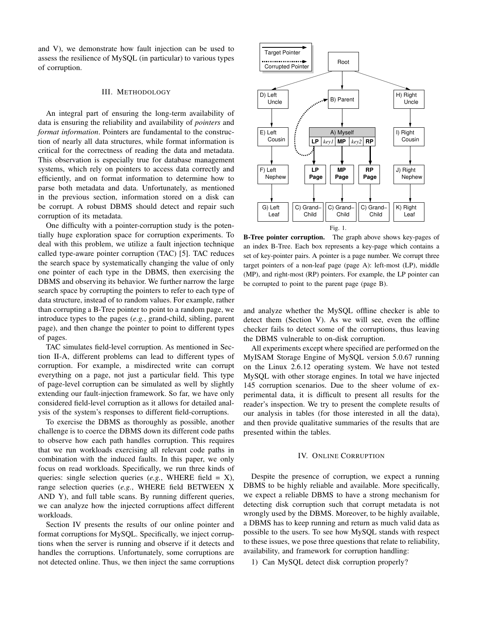and V), we demonstrate how fault injection can be used to assess the resilience of MySQL (in particular) to various types of corruption.

#### III. METHODOLOGY

An integral part of ensuring the long-term availability of data is ensuring the reliability and availability of *pointers* and *format information*. Pointers are fundamental to the construction of nearly all data structures, while format information is critical for the correctness of reading the data and metadata. This observation is especially true for database management systems, which rely on pointers to access data correctly and efficiently, and on format information to determine how to parse both metadata and data. Unfortunately, as mentioned in the previous section, information stored on a disk can be corrupt. A robust DBMS should detect and repair such corruption of its metadata.

One difficulty with a pointer-corruption study is the potentially huge exploration space for corruption experiments. To deal with this problem, we utilize a fault injection technique called type-aware pointer corruption (TAC) [5]. TAC reduces the search space by systematically changing the value of only one pointer of each type in the DBMS, then exercising the DBMS and observing its behavior. We further narrow the large search space by corrupting the pointers to refer to each type of data structure, instead of to random values. For example, rather than corrupting a B-Tree pointer to point to a random page, we introduce types to the pages (*e.g.*, grand-child, sibling, parent page), and then change the pointer to point to different types of pages.

TAC simulates field-level corruption. As mentioned in Section II-A, different problems can lead to different types of corruption. For example, a misdirected write can corrupt everything on a page, not just a particular field. This type of page-level corruption can be simulated as well by slightly extending our fault-injection framework. So far, we have only considered field-level corruption as it allows for detailed analysis of the system's responses to different field-corruptions.

To exercise the DBMS as thoroughly as possible, another challenge is to coerce the DBMS down its different code paths to observe how each path handles corruption. This requires that we run workloads exercising all relevant code paths in combination with the induced faults. In this paper, we only focus on read workloads. Specifically, we run three kinds of queries: single selection queries (*e.g.*, WHERE field = X), range selection queries (*e.g.*, WHERE field BETWEEN X AND Y), and full table scans. By running different queries, we can analyze how the injected corruptions affect different workloads.

Section IV presents the results of our online pointer and format corruptions for MySQL. Specifically, we inject corruptions when the server is running and observe if it detects and handles the corruptions. Unfortunately, some corruptions are not detected online. Thus, we then inject the same corruptions



**B-Tree pointer corruption.** The graph above shows key-pages of an index B-Tree. Each box represents a key-page which contains a set of key-pointer pairs. A pointer is a page number. We corrupt three target pointers of a non-leaf page (page A): left-most (LP), middle (MP), and right-most (RP) pointers. For example, the LP pointer can be corrupted to point to the parent page (page B).

and analyze whether the MySQL offline checker is able to detect them (Section V). As we will see, even the offline checker fails to detect some of the corruptions, thus leaving the DBMS vulnerable to on-disk corruption.

All experiments except where specified are performed on the MyISAM Storage Engine of MySQL version 5.0.67 running on the Linux 2.6.12 operating system. We have not tested MySQL with other storage engines. In total we have injected 145 corruption scenarios. Due to the sheer volume of experimental data, it is difficult to present all results for the reader's inspection. We try to present the complete results of our analysis in tables (for those interested in all the data), and then provide qualitative summaries of the results that are presented within the tables.

#### IV. ONLINE CORRUPTION

Despite the presence of corruption, we expect a running DBMS to be highly reliable and available. More specifically, we expect a reliable DBMS to have a strong mechanism for detecting disk corruption such that corrupt metadata is not wrongly used by the DBMS. Moreover, to be highly available, a DBMS has to keep running and return as much valid data as possible to the users. To see how MySQL stands with respect to these issues, we pose three questions that relate to reliability, availability, and framework for corruption handling:

1) Can MySQL detect disk corruption properly?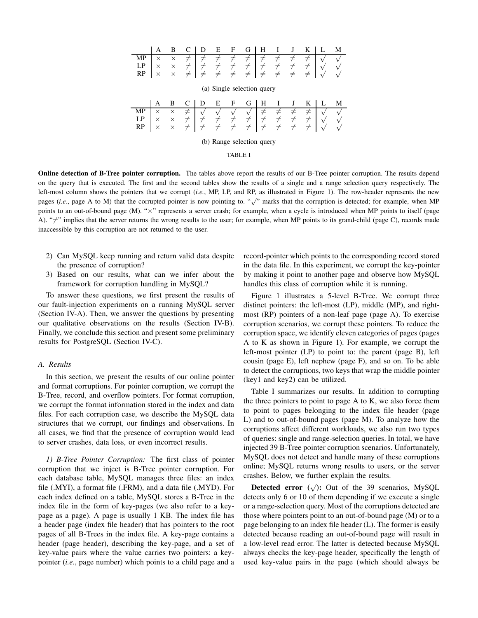|    | Α        | в        |                  |        | Е                          | F      | G      | Н                |                  |        | K      |              | М            |
|----|----------|----------|------------------|--------|----------------------------|--------|--------|------------------|------------------|--------|--------|--------------|--------------|
| MP | $\times$ | ×        | $\neq$           |        | ≠                          |        | ≠      | ≠                |                  |        | ≠      |              |              |
| LP | $\times$ | $\times$ | $\neq$           | $\neq$ | $\neq$                     | $\neq$ | $\neq$ | $\neq$           | $\neq$           | $\neq$ | $\neq$ | $\checkmark$ | $\mathbf{v}$ |
| RP | $\times$ | ×        | $\neq$           | $\neq$ | $\neq$                     | $\neq$ | $\neq$ | $\neq$           | $\neq$           | $\neq$ | $\neq$ |              |              |
|    |          |          |                  |        | (a) Single selection query |        |        |                  |                  |        |        |              |              |
|    |          |          |                  |        |                            |        |        |                  |                  |        |        |              |              |
|    | Α        | B        |                  | D      | Е                          | F      | G      | Н                |                  |        | K      |              | M            |
| MP | $\times$ | ×        | ≠                |        |                            |        |        | ≠                | ≠                |        | ≠      | $\mathbf v$  | $\sqrt{ }$   |
| LP | X        | $\times$ |                  | $\neq$ | $\neq$                     | $\neq$ | $\neq$ |                  |                  | $\neq$ | $\neq$ |              | $\sqrt{}$    |
| RP | ×        | ×        | $\neq$<br>$\neq$ | ≠      | $\neq$                     | $\neq$ | $\neq$ | $\neq$<br>$\neq$ | $\neq$<br>$\neq$ | $\neq$ | $\neq$ | $\sqrt{}$    |              |

TABLE I

**Online detection of B-Tree pointer corruption.** The tables above report the results of our B-Tree pointer corruption. The results depend on the query that is executed. The first and the second tables show the results of a single and a range selection query respectively. The left-most column shows the pointers that we corrupt (*i.e.*, MP, LP, and RP, as illustrated in Figure 1). The row-header represents the new pages (*i.e.*, page A to M) that the corrupted pointer is now pointing to. "√ " marks that the corruption is detected; for example, when MP points to an out-of-bound page (M). " $\times$ " represents a server crash; for example, when a cycle is introduced when MP points to itself (page A). " $\neq$ " implies that the server returns the wrong results to the user; for example, when MP points to its grand-child (page C), records made inaccessible by this corruption are not returned to the user.

- 2) Can MySQL keep running and return valid data despite the presence of corruption?
- 3) Based on our results, what can we infer about the framework for corruption handling in MySQL?

To answer these questions, we first present the results of our fault-injection experiments on a running MySQL server (Section IV-A). Then, we answer the questions by presenting our qualitative observations on the results (Section IV-B). Finally, we conclude this section and present some preliminary results for PostgreSQL (Section IV-C).

# *A. Results*

In this section, we present the results of our online pointer and format corruptions. For pointer corruption, we corrupt the B-Tree, record, and overflow pointers. For format corruption, we corrupt the format information stored in the index and data files. For each corruption case, we describe the MySQL data structures that we corrupt, our findings and observations. In all cases, we find that the presence of corruption would lead to server crashes, data loss, or even incorrect results.

*1) B-Tree Pointer Corruption:* The first class of pointer corruption that we inject is B-Tree pointer corruption. For each database table, MySQL manages three files: an index file (.MYI), a format file (.FRM), and a data file (.MYD). For each index defined on a table, MySQL stores a B-Tree in the index file in the form of key-pages (we also refer to a keypage as a page). A page is usually 1 KB. The index file has a header page (index file header) that has pointers to the root pages of all B-Trees in the index file. A key-page contains a header (page header), describing the key-page, and a set of key-value pairs where the value carries two pointers: a keypointer (*i.e.*, page number) which points to a child page and a

record-pointer which points to the corresponding record stored in the data file. In this experiment, we corrupt the key-pointer by making it point to another page and observe how MySQL handles this class of corruption while it is running.

Figure 1 illustrates a 5-level B-Tree. We corrupt three distinct pointers: the left-most (LP), middle (MP), and rightmost (RP) pointers of a non-leaf page (page A). To exercise corruption scenarios, we corrupt these pointers. To reduce the corruption space, we identify eleven categories of pages (pages A to K as shown in Figure 1). For example, we corrupt the left-most pointer (LP) to point to: the parent (page B), left cousin (page E), left nephew (page F), and so on. To be able to detect the corruptions, two keys that wrap the middle pointer (key1 and key2) can be utilized.

Table I summarizes our results. In addition to corrupting the three pointers to point to page A to K, we also force them to point to pages belonging to the index file header (page L) and to out-of-bound pages (page M). To analyze how the corruptions affect different workloads, we also run two types of queries: single and range-selection queries. In total, we have injected 39 B-Tree pointer corruption scenarios. Unfortunately, MySQL does not detect and handle many of these corruptions online; MySQL returns wrong results to users, or the server crashes. Below, we further explain the results.

**Detected error**  $(\sqrt{\ })$ : Out of the 39 scenarios, MySQL detects only 6 or 10 of them depending if we execute a single or a range-selection query. Most of the corruptions detected are those where pointers point to an out-of-bound page (M) or to a page belonging to an index file header (L). The former is easily detected because reading an out-of-bound page will result in a low-level read error. The latter is detected because MySQL always checks the key-page header, specifically the length of used key-value pairs in the page (which should always be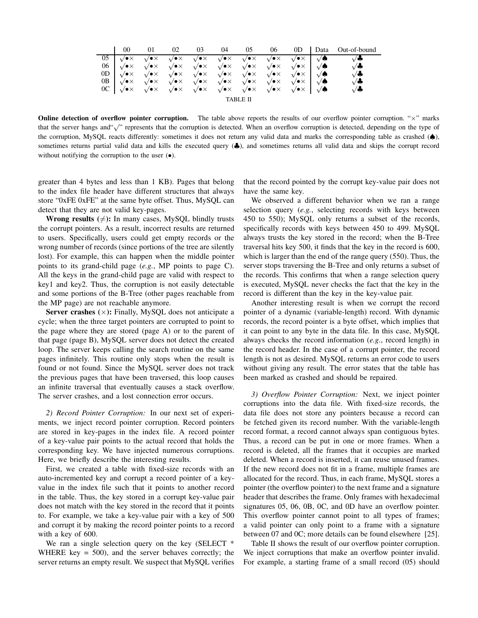| 00 <sup>2</sup> |  |  |          |                                                                                                                                                                                                                                  |  | 01 02 03 04 05 06 0D Data Out-of-bound |
|-----------------|--|--|----------|----------------------------------------------------------------------------------------------------------------------------------------------------------------------------------------------------------------------------------|--|----------------------------------------|
|                 |  |  |          | 05   $\sqrt{\bullet} \times$ $\sqrt{\bullet} \times$ $\sqrt{\bullet} \times$ $\sqrt{\bullet} \times$ $\sqrt{\bullet} \times$ $\sqrt{\bullet} \times$ $\sqrt{\bullet} \times$ $\sqrt{\bullet} \times$   $\sqrt{\spadesuit}$       |  | $\sqrt{4}$                             |
|                 |  |  |          | 06   $\sqrt{\bullet} \times \sqrt{\bullet} \times \sqrt{\bullet} \times \sqrt{\bullet} \times \sqrt{\bullet} \times \sqrt{\bullet} \times \sqrt{\bullet} \times \sqrt{\bullet} \times \sqrt{\bullet} \times$   $\sqrt{\bullet}$  |  | $\sqrt{2}$                             |
|                 |  |  |          | OD $\sqrt{\bullet} \times \sqrt{\bullet} \times \sqrt{\bullet} \times \sqrt{\bullet} \times \sqrt{\bullet} \times \sqrt{\bullet} \times \sqrt{\bullet} \times \sqrt{\bullet} \times \sqrt{\bullet} \times \sqrt{\bullet} \times$ |  | $\sqrt{\clubsuit}$                     |
|                 |  |  |          | 0B $\sqrt{\bullet} \times \sqrt{\bullet} \times \sqrt{\bullet} \times \sqrt{\bullet} \times \sqrt{\bullet} \times \sqrt{\bullet} \times \sqrt{\bullet} \times \sqrt{\bullet} \times \sqrt{\bullet} \times \sqrt{\bullet} \times$ |  | $\sqrt{\clubsuit}$                     |
|                 |  |  |          | $\mathbb{C}$ $\sqrt{\bullet}$ $\times$ $\sqrt{\bullet}$ $\times$ $\sqrt{\bullet}$ $\times$ $\sqrt{\bullet}$ $\times$ $\sqrt{\bullet}$ $\times$ $\sqrt{\bullet}$ $\times$ $\sqrt{\bullet}$ $\times$ $\sqrt{\bullet}$              |  | $\sqrt{\clubsuit}$                     |
|                 |  |  | TABLE II |                                                                                                                                                                                                                                  |  |                                        |

**Online detection of overflow pointer corruption.** The table above reports the results of our overflow pointer corruption. " $\times$ " marks that the server hangs and"√ " represents that the corruption is detected. When an overflow corruption is detected, depending on the type of the corruption, MySQL reacts differently: sometimes it does not return any valid data and marks the corresponding table as crashed (♠), sometimes returns partial valid data and kills the executed query (♣), and sometimes returns all valid data and skips the corrupt record without notifying the corruption to the user  $(\bullet)$ .

greater than 4 bytes and less than 1 KB). Pages that belong to the index file header have different structures that always store "0xFE 0xFE" at the same byte offset. Thus, MySQL can detect that they are not valid key-pages.

**Wrong results**  $(\neq)$ : In many cases, MySQL blindly trusts the corrupt pointers. As a result, incorrect results are returned to users. Specifically, users could get empty records or the wrong number of records (since portions of the tree are silently lost). For example, this can happen when the middle pointer points to its grand-child page (*e.g.*, MP points to page C). All the keys in the grand-child page are valid with respect to key1 and key2. Thus, the corruption is not easily detectable and some portions of the B-Tree (other pages reachable from the MP page) are not reachable anymore.

**Server crashes (** $\times$ **):** Finally, MySQL does not anticipate a cycle; when the three target pointers are corrupted to point to the page where they are stored (page A) or to the parent of that page (page B), MySQL server does not detect the created loop. The server keeps calling the search routine on the same pages infinitely. This routine only stops when the result is found or not found. Since the MySQL server does not track the previous pages that have been traversed, this loop causes an infinite traversal that eventually causes a stack overflow. The server crashes, and a lost connection error occurs.

*2) Record Pointer Corruption:* In our next set of experiments, we inject record pointer corruption. Record pointers are stored in key-pages in the index file. A record pointer of a key-value pair points to the actual record that holds the corresponding key. We have injected numerous corruptions. Here, we briefly describe the interesting results.

First, we created a table with fixed-size records with an auto-incremented key and corrupt a record pointer of a keyvalue in the index file such that it points to another record in the table. Thus, the key stored in a corrupt key-value pair does not match with the key stored in the record that it points to. For example, we take a key-value pair with a key of 500 and corrupt it by making the record pointer points to a record with a key of 600.

We ran a single selection query on the key (SELECT  $*$ WHERE key  $= 500$ , and the server behaves correctly; the server returns an empty result. We suspect that MySQL verifies that the record pointed by the corrupt key-value pair does not have the same key.

We observed a different behavior when we ran a range selection query (*e.g.*, selecting records with keys between 450 to 550); MySQL only returns a subset of the records, specifically records with keys between 450 to 499. MySQL always trusts the key stored in the record; when the B-Tree traversal hits key 500, it finds that the key in the record is 600, which is larger than the end of the range query (550). Thus, the server stops traversing the B-Tree and only returns a subset of the records. This confirms that when a range selection query is executed, MySQL never checks the fact that the key in the record is different than the key in the key-value pair.

Another interesting result is when we corrupt the record pointer of a dynamic (variable-length) record. With dynamic records, the record pointer is a byte offset, which implies that it can point to any byte in the data file. In this case, MySQL always checks the record information (*e.g.*, record length) in the record header. In the case of a corrupt pointer, the record length is not as desired. MySQL returns an error code to users without giving any result. The error states that the table has been marked as crashed and should be repaired.

*3) Overflow Pointer Corruption:* Next, we inject pointer corruptions into the data file. With fixed-size records, the data file does not store any pointers because a record can be fetched given its record number. With the variable-length record format, a record cannot always span contiguous bytes. Thus, a record can be put in one or more frames. When a record is deleted, all the frames that it occupies are marked deleted. When a record is inserted, it can reuse unused frames. If the new record does not fit in a frame, multiple frames are allocated for the record. Thus, in each frame, MySQL stores a pointer (the overflow pointer) to the next frame and a signature header that describes the frame. Only frames with hexadecimal signatures 05, 06, 0B, 0C, and 0D have an overflow pointer. This overflow pointer cannot point to all types of frames; a valid pointer can only point to a frame with a signature between 07 and 0C; more details can be found elsewhere [25].

Table II shows the result of our overflow pointer corruption. We inject corruptions that make an overflow pointer invalid. For example, a starting frame of a small record (05) should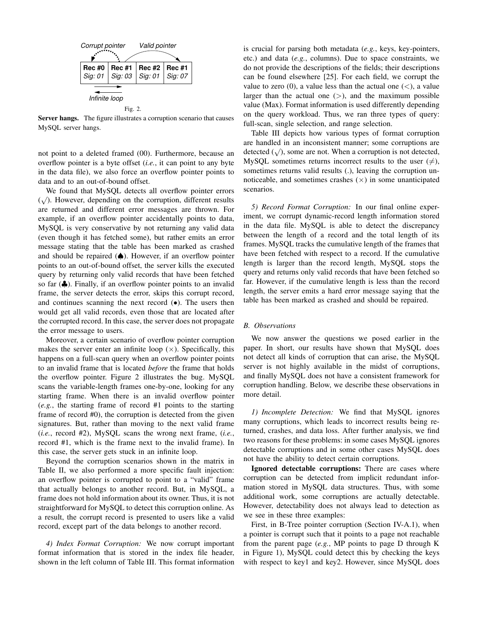

**Server hangs.** The figure illustrates a corruption scenario that causes MySQL server hangs.

not point to a deleted framed (00). Furthermore, because an overflow pointer is a byte offset (*i.e.*, it can point to any byte in the data file), we also force an overflow pointer points to data and to an out-of-bound offset.

We found that MySQL detects all overflow pointer errors  $(\sqrt{\ } )$ . However, depending on the corruption, different results are returned and different error messages are thrown. For example, if an overflow pointer accidentally points to data, MySQL is very conservative by not returning any valid data (even though it has fetched some), but rather emits an error message stating that the table has been marked as crashed and should be repaired  $(\spadesuit)$ . However, if an overflow pointer points to an out-of-bound offset, the server kills the executed query by returning only valid records that have been fetched so far (♣). Finally, if an overflow pointer points to an invalid frame, the server detects the error, skips this corrupt record, and continues scanning the next record  $(\bullet)$ . The users then would get all valid records, even those that are located after the corrupted record. In this case, the server does not propagate the error message to users.

Moreover, a certain scenario of overflow pointer corruption makes the server enter an infinite loop  $(x)$ . Specifically, this happens on a full-scan query when an overflow pointer points to an invalid frame that is located *before* the frame that holds the overflow pointer. Figure 2 illustrates the bug. MySQL scans the variable-length frames one-by-one, looking for any starting frame. When there is an invalid overflow pointer (*e.g.*, the starting frame of record #1 points to the starting frame of record #0), the corruption is detected from the given signatures. But, rather than moving to the next valid frame (*i.e.*, record #2), MySQL scans the wrong next frame, (*i.e.*, record #1, which is the frame next to the invalid frame). In this case, the server gets stuck in an infinite loop.

Beyond the corruption scenarios shown in the matrix in Table II, we also performed a more specific fault injection: an overflow pointer is corrupted to point to a "valid" frame that actually belongs to another record. But, in MySQL, a frame does not hold information about its owner. Thus, it is not straightforward for MySQL to detect this corruption online. As a result, the corrupt record is presented to users like a valid record, except part of the data belongs to another record.

*4) Index Format Corruption:* We now corrupt important format information that is stored in the index file header, shown in the left column of Table III. This format information is crucial for parsing both metadata (*e.g.*, keys, key-pointers, etc.) and data (*e.g.*, columns). Due to space constraints, we do not provide the descriptions of the fields; their descriptions can be found elsewhere [25]. For each field, we corrupt the value to zero  $(0)$ , a value less than the actual one  $(<)$ , a value larger than the actual one  $(>)$ , and the maximum possible value (Max). Format information is used differently depending on the query workload. Thus, we ran three types of query: full-scan, single selection, and range selection.

Table III depicts how various types of format corruption are handled in an inconsistent manner; some corruptions are detected  $(\sqrt{\ })$ , some are not. When a corruption is not detected, MySQL sometimes returns incorrect results to the user  $(\neq)$ , sometimes returns valid results (.), leaving the corruption unnoticeable, and sometimes crashes  $(x)$  in some unanticipated scenarios.

*5) Record Format Corruption:* In our final online experiment, we corrupt dynamic-record length information stored in the data file. MySQL is able to detect the discrepancy between the length of a record and the total length of its frames. MySQL tracks the cumulative length of the frames that have been fetched with respect to a record. If the cumulative length is larger than the record length, MySQL stops the query and returns only valid records that have been fetched so far. However, if the cumulative length is less than the record length, the server emits a hard error message saying that the table has been marked as crashed and should be repaired.

#### *B. Observations*

We now answer the questions we posed earlier in the paper. In short, our results have shown that MySQL does not detect all kinds of corruption that can arise, the MySQL server is not highly available in the midst of corruptions, and finally MySQL does not have a consistent framework for corruption handling. Below, we describe these observations in more detail.

*1) Incomplete Detection:* We find that MySQL ignores many corruptions, which leads to incorrect results being returned, crashes, and data loss. After further analysis, we find two reasons for these problems: in some cases MySQL ignores detectable corruptions and in some other cases MySQL does not have the ability to detect certain corruptions.

**Ignored detectable corruptions:** There are cases where corruption can be detected from implicit redundant information stored in MySQL data structures. Thus, with some additional work, some corruptions are actually detectable. However, detectability does not always lead to detection as we see in these three examples:

First, in B-Tree pointer corruption (Section IV-A.1), when a pointer is corrupt such that it points to a page not reachable from the parent page (*e.g.*, MP points to page D through K in Figure 1), MySQL could detect this by checking the keys with respect to key1 and key2. However, since MySQL does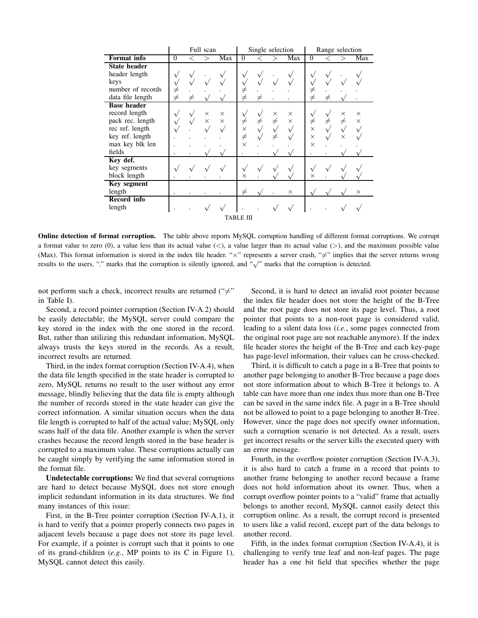|                     | Full scan  |            |          |            | Single selection |            |           |           | Range selection |           |           |            |
|---------------------|------------|------------|----------|------------|------------------|------------|-----------|-----------|-----------------|-----------|-----------|------------|
| Format info         | $\theta$   | $\,<\,$    | $\rm{>}$ | Max        | $\overline{0}$   | $\,<\,$    | >         | Max       | $\mathbf{0}$    | $\,<\,$   | $\rm{>}$  | Max        |
| <b>State header</b> |            |            |          |            |                  |            |           |           |                 |           |           |            |
| header length       | $\sqrt{}$  |            |          |            | $\sqrt{}$        | $\sqrt{ }$ |           |           | $\check{ }$     | $\sqrt{}$ |           |            |
| keys                | $\sqrt{ }$ |            |          |            | $\sqrt{}$        |            |           |           |                 |           |           |            |
| number of records   | $\neq$     |            |          |            | $\neq$           |            |           |           | $\neq$          |           |           |            |
| data file length    | $\neq$     | $\neq$     |          |            | $\neq$           | $\neq$     |           |           | $\neq$          | ≠         |           |            |
| <b>Base</b> header  |            |            |          |            |                  |            |           |           |                 |           |           |            |
| record length       | $\sqrt{ }$ | $\sqrt{}$  | $\times$ | $\times$   | $\sqrt{}$        | $\sqrt{ }$ | $\times$  | $\times$  | $\checkmark$    | $\sqrt{}$ | $\times$  | $\times$   |
| pack rec. length    | $\sqrt{ }$ | $\sqrt{ }$ | $\times$ | $\times$   | $\not=$          | $\neq$     | $\neq$    | $\times$  | $\neq$          | $\neq$    | $\neq$    | $\times$   |
| rec ref. length     | v          |            |          | $\sqrt{ }$ | $\times$         | $\sqrt{}$  | $\sqrt{}$ | $\sqrt{}$ | $\times$        | $\sqrt{}$ | $\sqrt{}$ | $\sqrt{ }$ |
| key ref. length     |            |            |          |            | $\neq$           |            | $\neq$    |           | $\times$        |           | $\times$  |            |
| max key blk len     |            |            |          |            | $\times$         |            |           |           | $\times$        |           |           |            |
| fields              |            |            |          |            |                  |            |           |           |                 |           |           |            |
| Key def.            |            |            |          |            |                  |            |           |           |                 |           |           |            |
| key segments        |            |            |          | $\sqrt{ }$ | $\sqrt{ }$       |            |           |           | $\sqrt{}$       |           |           |            |
| block length        |            |            |          |            | $\times$         |            |           |           | $\times$        |           |           |            |
| Key segment         |            |            |          |            |                  |            |           |           |                 |           |           |            |
| length              |            |            |          |            | $\neq$           |            |           | $\times$  |                 |           |           | $\times$   |
| <b>Record info</b>  |            |            |          |            |                  |            |           |           |                 |           |           |            |
| length              |            |            |          |            |                  |            |           |           |                 |           |           |            |
|                     |            |            |          |            | <b>TABLE III</b> |            |           |           |                 |           |           |            |

**Online detection of format corruption.** The table above reports MySQL corruption handling of different format corruptions. We corrupt a format value to zero (0), a value less than its actual value  $(\langle \rangle)$ , a value larger than its actual value  $(\rangle)$ , and the maximum possible value (Max). This format information is stored in the index file header. " $\times$ " represents a server crash, " $\neq$ " implies that the server returns wrong results to the users, "." marks that the corruption is silently ignored, and "√ " marks that the corruption is detected.

not perform such a check, incorrect results are returned ( $4^{\circ}$ =" in Table I).

Second, a record pointer corruption (Section IV-A.2) should be easily detectable; the MySQL server could compare the key stored in the index with the one stored in the record. But, rather than utilizing this redundant information, MySQL always trusts the keys stored in the records. As a result, incorrect results are returned.

Third, in the index format corruption (Section IV-A.4), when the data file length specified in the state header is corrupted to zero, MySQL returns no result to the user without any error message, blindly believing that the data file is empty although the number of records stored in the state header can give the correct information. A similar situation occurs when the data file length is corrupted to half of the actual value; MySQL only scans half of the data file. Another example is when the server crashes because the record length stored in the base header is corrupted to a maximum value. These corruptions actually can be caught simply by verifying the same information stored in the format file.

**Undetectable corruptions:** We find that several corruptions are hard to detect because MySQL does not store enough implicit redundant information in its data structures. We find many instances of this issue:

First, in the B-Tree pointer corruption (Section IV-A.1), it is hard to verify that a pointer properly connects two pages in adjacent levels because a page does not store its page level. For example, if a pointer is corrupt such that it points to one of its grand-children (*e.g.*, MP points to its C in Figure 1), MySQL cannot detect this easily.

Second, it is hard to detect an invalid root pointer because the index file header does not store the height of the B-Tree and the root page does not store its page level. Thus, a root pointer that points to a non-root page is considered valid, leading to a silent data loss (*i.e.*, some pages connected from the original root page are not reachable anymore). If the index file header stores the height of the B-Tree and each key-page has page-level information, their values can be cross-checked.

Third, it is difficult to catch a page in a B-Tree that points to another page belonging to another B-Tree because a page does not store information about to which B-Tree it belongs to. A table can have more than one index thus more than one B-Tree can be saved in the same index file. A page in a B-Tree should not be allowed to point to a page belonging to another B-Tree. However, since the page does not specify owner information, such a corruption scenario is not detected. As a result, users get incorrect results or the server kills the executed query with an error message.

Fourth, in the overflow pointer corruption (Section IV-A.3), it is also hard to catch a frame in a record that points to another frame belonging to another record because a frame does not hold information about its owner. Thus, when a corrupt overflow pointer points to a "valid" frame that actually belongs to another record, MySQL cannot easily detect this corruption online. As a result, the corrupt record is presented to users like a valid record, except part of the data belongs to another record.

Fifth, in the index format corruption (Section IV-A.4), it is challenging to verify true leaf and non-leaf pages. The page header has a one bit field that specifies whether the page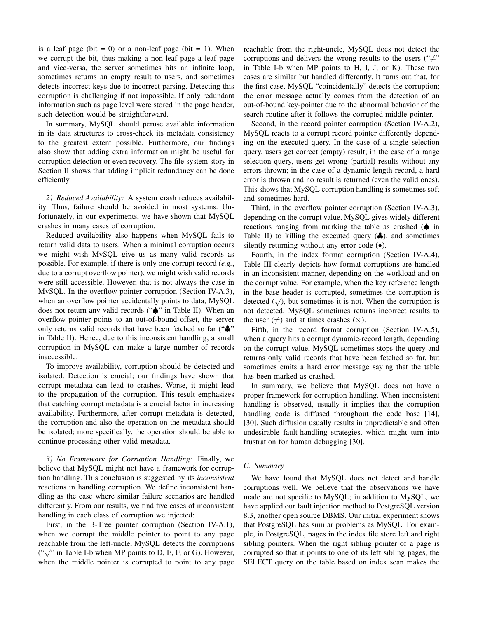is a leaf page (bit  $= 0$ ) or a non-leaf page (bit  $= 1$ ). When we corrupt the bit, thus making a non-leaf page a leaf page and vice-versa, the server sometimes hits an infinite loop, sometimes returns an empty result to users, and sometimes detects incorrect keys due to incorrect parsing. Detecting this corruption is challenging if not impossible. If only redundant information such as page level were stored in the page header, such detection would be straightforward.

In summary, MySQL should peruse available information in its data structures to cross-check its metadata consistency to the greatest extent possible. Furthermore, our findings also show that adding extra information might be useful for corruption detection or even recovery. The file system story in Section II shows that adding implicit redundancy can be done efficiently.

*2) Reduced Availability:* A system crash reduces availability. Thus, failure should be avoided in most systems. Unfortunately, in our experiments, we have shown that MySQL crashes in many cases of corruption.

Reduced availability also happens when MySQL fails to return valid data to users. When a minimal corruption occurs we might wish MySQL give us as many valid records as possible. For example, if there is only one corrupt record (*e.g.*, due to a corrupt overflow pointer), we might wish valid records were still accessible. However, that is not always the case in MySQL. In the overflow pointer corruption (Section IV-A.3), when an overflow pointer accidentally points to data, MySQL does not return any valid records ("♠" in Table II). When an overflow pointer points to an out-of-bound offset, the server only returns valid records that have been fetched so far ("♣" in Table II). Hence, due to this inconsistent handling, a small corruption in MySQL can make a large number of records inaccessible.

To improve availability, corruption should be detected and isolated. Detection is crucial; our findings have shown that corrupt metadata can lead to crashes. Worse, it might lead to the propagation of the corruption. This result emphasizes that catching corrupt metadata is a crucial factor in increasing availability. Furthermore, after corrupt metadata is detected, the corruption and also the operation on the metadata should be isolated; more specifically, the operation should be able to continue processing other valid metadata.

*3) No Framework for Corruption Handling:* Finally, we believe that MySQL might not have a framework for corruption handling. This conclusion is suggested by its *inconsistent* reactions in handling corruption. We define inconsistent handling as the case where similar failure scenarios are handled differently. From our results, we find five cases of inconsistent handling in each class of corruption we injected:

First, in the B-Tree pointer corruption (Section IV-A.1), when we corrupt the middle pointer to point to any page reachable from the left-uncle, MySQL detects the corruptions ("√ " in Table I-b when MP points to D, E, F, or G). However, when the middle pointer is corrupted to point to any page reachable from the right-uncle, MySQL does not detect the corruptions and delivers the wrong results to the users (" $\neq$ " in Table I-b when MP points to H, I, J, or K). These two cases are similar but handled differently. It turns out that, for the first case, MySQL "coincidentally" detects the corruption; the error message actually comes from the detection of an out-of-bound key-pointer due to the abnormal behavior of the search routine after it follows the corrupted middle pointer.

Second, in the record pointer corruption (Section IV-A.2), MySQL reacts to a corrupt record pointer differently depending on the executed query. In the case of a single selection query, users get correct (empty) result; in the case of a range selection query, users get wrong (partial) results without any errors thrown; in the case of a dynamic length record, a hard error is thrown and no result is returned (even the valid ones). This shows that MySQL corruption handling is sometimes soft and sometimes hard.

Third, in the overflow pointer corruption (Section IV-A.3), depending on the corrupt value, MySQL gives widely different reactions ranging from marking the table as crashed (♠ in Table II) to killing the executed query  $(\clubsuit)$ , and sometimes silently returning without any error-code  $(\bullet)$ .

Fourth, in the index format corruption (Section IV-A.4), Table III clearly depicts how format corruptions are handled in an inconsistent manner, depending on the workload and on the corrupt value. For example, when the key reference length in the base header is corrupted, sometimes the corruption is detected  $(\sqrt)$ , but sometimes it is not. When the corruption is not detected, MySQL sometimes returns incorrect results to the user  $(\neq)$  and at times crashes  $(\times)$ .

Fifth, in the record format corruption (Section IV-A.5), when a query hits a corrupt dynamic-record length, depending on the corrupt value, MySQL sometimes stops the query and returns only valid records that have been fetched so far, but sometimes emits a hard error message saying that the table has been marked as crashed.

In summary, we believe that MySQL does not have a proper framework for corruption handling. When inconsistent handling is observed, usually it implies that the corruption handling code is diffused throughout the code base [14], [30]. Such diffusion usually results in unpredictable and often undesirable fault-handling strategies, which might turn into frustration for human debugging [30].

#### *C. Summary*

We have found that MySQL does not detect and handle corruptions well. We believe that the observations we have made are not specific to MySQL; in addition to MySQL, we have applied our fault injection method to PostgreSQL version 8.3, another open source DBMS. Our initial experiment shows that PostgreSQL has similar problems as MySQL. For example, in PostgreSQL, pages in the index file store left and right sibling pointers. When the right sibling pointer of a page is corrupted so that it points to one of its left sibling pages, the SELECT query on the table based on index scan makes the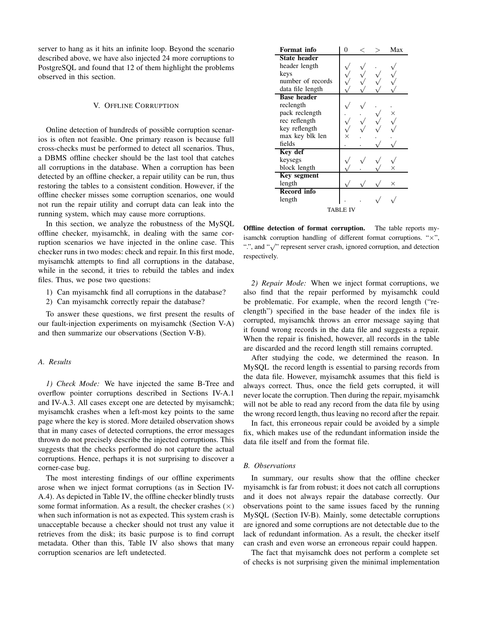server to hang as it hits an infinite loop. Beyond the scenario described above, we have also injected 24 more corruptions to PostgreSQL and found that 12 of them highlight the problems observed in this section.

# V. OFFLINE CORRUPTION

Online detection of hundreds of possible corruption scenarios is often not feasible. One primary reason is because full cross-checks must be performed to detect all scenarios. Thus, a DBMS offline checker should be the last tool that catches all corruptions in the database. When a corruption has been detected by an offline checker, a repair utility can be run, thus restoring the tables to a consistent condition. However, if the offline checker misses some corruption scenarios, one would not run the repair utility and corrupt data can leak into the running system, which may cause more corruptions.

In this section, we analyze the robustness of the MySQL offline checker, myisamchk, in dealing with the same corruption scenarios we have injected in the online case. This checker runs in two modes: check and repair. In this first mode, myisamchk attempts to find all corruptions in the database, while in the second, it tries to rebuild the tables and index files. Thus, we pose two questions:

- 1) Can myisamchk find all corruptions in the database?
- 2) Can myisamchk correctly repair the database?

To answer these questions, we first present the results of our fault-injection experiments on myisamchk (Section V-A) and then summarize our observations (Section V-B).

## *A. Results*

*1) Check Mode:* We have injected the same B-Tree and overflow pointer corruptions described in Sections IV-A.1 and IV-A.3. All cases except one are detected by myisamchk; myisamchk crashes when a left-most key points to the same page where the key is stored. More detailed observation shows that in many cases of detected corruptions, the error messages thrown do not precisely describe the injected corruptions. This suggests that the checks performed do not capture the actual corruptions. Hence, perhaps it is not surprising to discover a corner-case bug.

The most interesting findings of our offline experiments arose when we inject format corruptions (as in Section IV-A.4). As depicted in Table IV, the offline checker blindly trusts some format information. As a result, the checker crashes  $(\times)$ when such information is not as expected. This system crash is unacceptable because a checker should not trust any value it retrieves from the disk; its basic purpose is to find corrupt metadata. Other than this, Table IV also shows that many corruption scenarios are left undetected.

| Format info        | 0        |  | Max |
|--------------------|----------|--|-----|
| State header       |          |  |     |
| header length      |          |  |     |
| keys               |          |  |     |
| number of records  |          |  |     |
| data file length   |          |  |     |
| <b>Base</b> header |          |  |     |
| reclength          |          |  |     |
| pack reclength     |          |  |     |
| rec reflength      |          |  |     |
| key reflength      |          |  |     |
| max key blk len    |          |  |     |
| fields             |          |  |     |
| Key def            |          |  |     |
| keysegs            |          |  |     |
| block length       |          |  |     |
| <b>Key segment</b> |          |  |     |
| length             |          |  | ×   |
| <b>Record info</b> |          |  |     |
| length             |          |  |     |
|                    | TABLE IV |  |     |

**Offline detection of format corruption.** The table reports myisamchk corruption handling of different format corruptions. "×", ".", and "√ " represent server crash, ignored corruption, and detection respectively.

*2) Repair Mode:* When we inject format corruptions, we also find that the repair performed by myisamchk could be problematic. For example, when the record length ("reclength") specified in the base header of the index file is corrupted, myisamchk throws an error message saying that it found wrong records in the data file and suggests a repair. When the repair is finished, however, all records in the table are discarded and the record length still remains corrupted.

After studying the code, we determined the reason. In MySQL the record length is essential to parsing records from the data file. However, myisamchk assumes that this field is always correct. Thus, once the field gets corrupted, it will never locate the corruption. Then during the repair, myisamchk will not be able to read any record from the data file by using the wrong record length, thus leaving no record after the repair.

In fact, this erroneous repair could be avoided by a simple fix, which makes use of the redundant information inside the data file itself and from the format file.

#### *B. Observations*

In summary, our results show that the offline checker myisamchk is far from robust; it does not catch all corruptions and it does not always repair the database correctly. Our observations point to the same issues faced by the running MySQL (Section IV-B). Mainly, some detectable corruptions are ignored and some corruptions are not detectable due to the lack of redundant information. As a result, the checker itself can crash and even worse an erroneous repair could happen.

The fact that myisamchk does not perform a complete set of checks is not surprising given the minimal implementation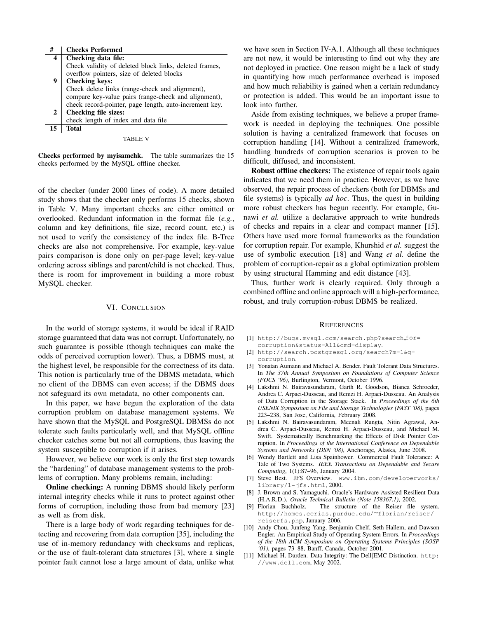| #  | <b>Checks Performed</b>                                |
|----|--------------------------------------------------------|
| 4  | Checking data file:                                    |
|    | Check validity of deleted block links, deleted frames, |
|    | overflow pointers, size of deleted blocks              |
| 9  | <b>Checking keys:</b>                                  |
|    | Check delete links (range-check and alignment),        |
|    | compare key-value pairs (range-check and alignment),   |
|    | check record-pointer, page length, auto-increment key. |
| 2  | <b>Checking file sizes:</b>                            |
|    | check length of index and data file                    |
| 15 | Total                                                  |
|    | TABLE                                                  |

**Checks performed by myisamchk.** The table summarizes the 15 checks performed by the MySQL offline checker.

of the checker (under 2000 lines of code). A more detailed study shows that the checker only performs 15 checks, shown in Table V. Many important checks are either omitted or overlooked. Redundant information in the format file (*e.g.*, column and key definitions, file size, record count, etc.) is not used to verify the consistency of the index file. B-Tree checks are also not comprehensive. For example, key-value pairs comparison is done only on per-page level; key-value ordering across siblings and parent/child is not checked. Thus, there is room for improvement in building a more robust MySQL checker.

# VI. CONCLUSION

In the world of storage systems, it would be ideal if RAID storage guaranteed that data was not corrupt. Unfortunately, no such guarantee is possible (though techniques can make the odds of perceived corruption lower). Thus, a DBMS must, at the highest level, be responsible for the correctness of its data. This notion is particularly true of the DBMS metadata, which no client of the DBMS can even access; if the DBMS does not safeguard its own metadata, no other components can.

In this paper, we have begun the exploration of the data corruption problem on database management systems. We have shown that the MySQL and PostgreSQL DBMSs do not tolerate such faults particularly well, and that MySQL offline checker catches some but not all corruptions, thus leaving the system susceptible to corruption if it arises.

However, we believe our work is only the first step towards the "hardening" of database management systems to the problems of corruption. Many problems remain, including:

**Online checking:** A running DBMS should likely perform internal integrity checks while it runs to protect against other forms of corruption, including those from bad memory [23] as well as from disk.

There is a large body of work regarding techniques for detecting and recovering from data corruption [35], including the use of in-memory redundancy with checksums and replicas, or the use of fault-tolerant data structures [3], where a single pointer fault cannot lose a large amount of data, unlike what

we have seen in Section IV-A.1. Although all these techniques are not new, it would be interesting to find out why they are not deployed in practice. One reason might be a lack of study in quantifying how much performance overhead is imposed and how much reliability is gained when a certain redundancy or protection is added. This would be an important issue to look into further.

Aside from existing techniques, we believe a proper framework is needed in deploying the techniques. One possible solution is having a centralized framework that focuses on corruption handling [14]. Without a centralized framework, handling hundreds of corruption scenarios is proven to be difficult, diffused, and inconsistent.

**Robust offline checkers:** The existence of repair tools again indicates that we need them in practice. However, as we have observed, the repair process of checkers (both for DBMSs and file systems) is typically *ad hoc*. Thus, the quest in building more robust checkers has begun recently. For example, Gunawi *et al.* utilize a declarative approach to write hundreds of checks and repairs in a clear and compact manner [15]. Others have used more formal frameworks as the foundation for corruption repair. For example, Khurshid *et al.* suggest the use of symbolic execution [18] and Wang *et al.* define the problem of corruption-repair as a global optimization problem by using structural Hamming and edit distance [43].

Thus, further work is clearly required. Only through a combined offline and online approach will a high-performance, robust, and truly corruption-robust DBMS be realized.

#### **REFERENCES**

- [1] http://bugs.mysql.com/search.php?search for=
- corruption&status=All&cmd=display. [2] http://search.postgresql.org/search?m=1&q= corruption.
- [3] Yonatan Aumann and Michael A. Bender. Fault Tolerant Data Structures. In *The 37th Annual Symposium on Foundations of Computer Science (FOCS '96)*, Burlington, Vermont, October 1996.
- [4] Lakshmi N. Bairavasundaram, Garth R. Goodson, Bianca Schroeder, Andrea C. Arpaci-Dusseau, and Remzi H. Arpaci-Dusseau. An Analysis of Data Corruption in the Storage Stack. In *Proceedings of the 6th USENIX Symposium on File and Storage Technologies (FAST '08)*, pages 223–238, San Jose, California, February 2008.
- [5] Lakshmi N. Bairavasundaram, Meenali Rungta, Nitin Agrawal, Andrea C. Arpaci-Dusseau, Remzi H. Arpaci-Dusseau, and Michael M. Swift. Systematically Benchmarking the Effects of Disk Pointer Corruption. In *Proceedings of the International Conference on Dependable Systems and Networks (DSN '08)*, Anchorage, Alaska, June 2008.
- [6] Wendy Bartlett and Lisa Spainhower. Commercial Fault Tolerance: A Tale of Two Systems. *IEEE Transactions on Dependable and Secure Computing*, 1(1):87–96, January 2004.
- [7] Steve Best. JFS Overview. www.ibm.com/developerworks/ library/l-jfs.html, 2000.
- [8] J. Brown and S. Yamaguchi. Oracle's Hardware Assisted Resilient Data (H.A.R.D.). *Oracle Technical Bulletin (Note 158367.1)*, 2002.
- [9] Florian Buchholz. The structure of the Reiser file system. http://homes.cerias.purdue.edu/∼florian/reiser/ reiserfs.php, January 2006.
- [10] Andy Chou, Junfeng Yang, Benjamin Chelf, Seth Hallem, and Dawson Engler. An Empirical Study of Operating System Errors. In *Proceedings of the 18th ACM Symposium on Operating Systems Principles (SOSP '01)*, pages 73–88, Banff, Canada, October 2001.
- [11] Michael H. Darden. Data Integrity: The Dell|EMC Distinction. http: //www.dell.com, May 2002.